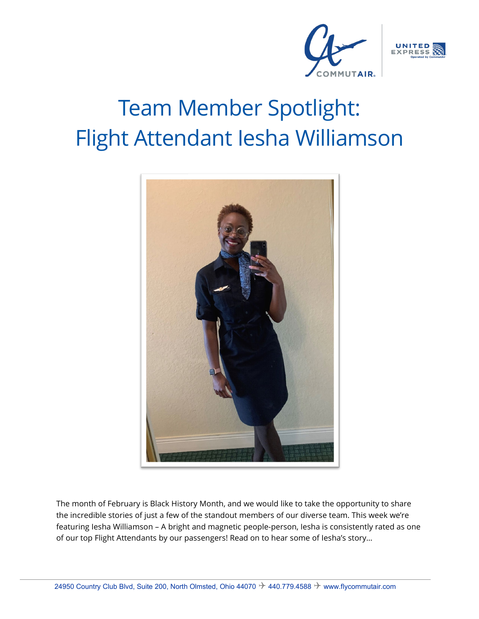



# Team Member Spotlight: Flight Attendant Iesha Williamson



The month of February is Black History Month, and we would like to take the opportunity to share the incredible stories of just a few of the standout members of our diverse team. This week we're featuring Iesha Williamson – A bright and magnetic people-person, Iesha is consistently rated as one of our top Flight Attendants by our passengers! Read on to hear some of Iesha's story…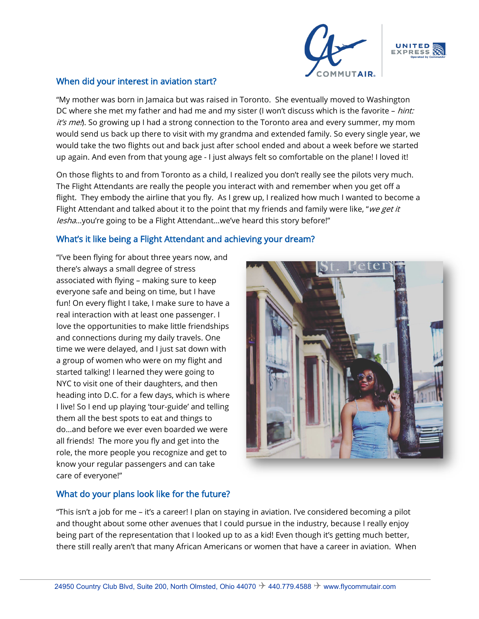

#### When did your interest in aviation start?

"My mother was born in Jamaica but was raised in Toronto. She eventually moved to Washington DC where she met my father and had me and my sister (I won't discuss which is the favorite – hint: *it's me.*). So growing up I had a strong connection to the Toronto area and every summer, my mom would send us back up there to visit with my grandma and extended family. So every single year, we would take the two flights out and back just after school ended and about a week before we started up again. And even from that young age - I just always felt so comfortable on the plane! I loved it!

On those flights to and from Toronto as a child, I realized you don't really see the pilots very much. The Flight Attendants are really the people you interact with and remember when you get off a flight. They embody the airline that you fly. As I grew up, I realized how much I wanted to become a Flight Attendant and talked about it to the point that my friends and family were like, "we get it Iesha…you're going to be a Flight Attendant…we've heard this story before!"

# What's it like being a Flight Attendant and achieving your dream?

"I've been flying for about three years now, and there's always a small degree of stress associated with flying – making sure to keep everyone safe and being on time, but I have fun! On every flight I take, I make sure to have a real interaction with at least one passenger. I love the opportunities to make little friendships and connections during my daily travels. One time we were delayed, and I just sat down with a group of women who were on my flight and started talking! I learned they were going to NYC to visit one of their daughters, and then heading into D.C. for a few days, which is where I live! So I end up playing 'tour-guide' and telling them all the best spots to eat and things to do…and before we ever even boarded we were all friends! The more you fly and get into the role, the more people you recognize and get to know your regular passengers and can take care of everyone!"



## What do your plans look like for the future?

"This isn't a job for me – it's a career! I plan on staying in aviation. I've considered becoming a pilot and thought about some other avenues that I could pursue in the industry, because I really enjoy being part of the representation that I looked up to as a kid! Even though it's getting much better, there still really aren't that many African Americans or women that have a career in aviation. When